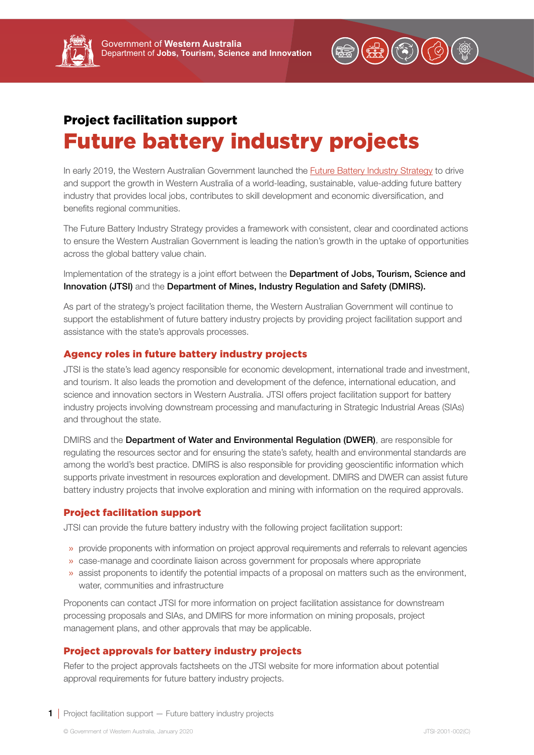# Project facilitation support Future battery industry projects

In early 2019, the Western Australian Government launched the **[Future Battery Industry Strategy](https://www.jtsi.wa.gov.au/docs/default-source/default-document-library/future-battery-industry-strategy-wa-0119.pdf?sfvrsn=ccc7731c_4)** to drive and support the growth in Western Australia of a world-leading, sustainable, value-adding future battery industry that provides local jobs, contributes to skill development and economic diversification, and benefits regional communities.

The Future Battery Industry Strategy provides a framework with consistent, clear and coordinated actions to ensure the Western Australian Government is leading the nation's growth in the uptake of opportunities across the global battery value chain.

Implementation of the strategy is a joint effort between the **Department of Jobs, Tourism, Science and** Innovation (JTSI) and the Department of Mines, Industry Regulation and Safety (DMIRS).

As part of the strategy's project facilitation theme, the Western Australian Government will continue to support the establishment of future battery industry projects by providing project facilitation support and assistance with the state's approvals processes.

## Agency roles in future battery industry projects

JTSI is the state's lead agency responsible for economic development, international trade and investment, and tourism. It also leads the promotion and development of the defence, international education, and science and innovation sectors in Western Australia. JTSI offers project facilitation support for battery industry projects involving downstream processing and manufacturing in Strategic Industrial Areas (SIAs) and throughout the state.

DMIRS and the Department of Water and Environmental Requlation (DWER), are responsible for regulating the resources sector and for ensuring the state's safety, health and environmental standards are among the world's best practice. DMIRS is also responsible for providing geoscientific information which supports private investment in resources exploration and development. DMIRS and DWER can assist future battery industry projects that involve exploration and mining with information on the required approvals.

#### Project facilitation support

JTSI can provide the future battery industry with the following project facilitation support:

- » provide proponents with information on project approval requirements and referrals to relevant agencies
- » case-manage and coordinate liaison across government for proposals where appropriate
- » assist proponents to identify the potential impacts of a proposal on matters such as the environment, water, communities and infrastructure

Proponents can contact JTSI for more information on project facilitation assistance for downstream processing proposals and SIAs, and DMIRS for more information on mining proposals, project management plans, and other approvals that may be applicable.

### Project approvals for battery industry projects

Refer to the project approvals factsheets on the JTSI website for more information about potential approval requirements for future battery industry projects.

**1** Project facilitation support – Future battery industry projects